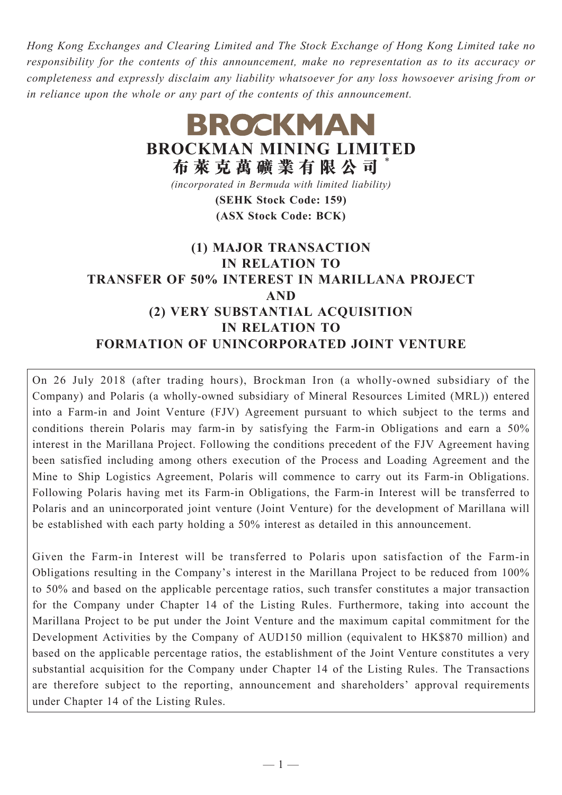*Hong Kong Exchanges and Clearing Limited and The Stock Exchange of Hong Kong Limited take no responsibility for the contents of this announcement, make no representation as to its accuracy or completeness and expressly disclaim any liability whatsoever for any loss howsoever arising from or in reliance upon the whole or any part of the contents of this announcement.*

# **BROCKMAN BROCKMAN MINING LIMITED 布萊克萬礦業有限公司** \* *(incorporated in Bermuda with limited liability)* **(SEHK Stock Code: 159) (ASX Stock Code: BCK) (1) MAJOR TRANSACTION IN RELATION TO TRANSFER OF 50% INTEREST IN MARILLANA PROJECT AND (2) VERY SUBSTANTIAL ACQUISITION IN RELATION TO FORMATION OF UNINCORPORATED JOINT VENTURE**

On 26 July 2018 (after trading hours), Brockman Iron (a wholly-owned subsidiary of the Company) and Polaris (a wholly-owned subsidiary of Mineral Resources Limited (MRL)) entered into a Farm-in and Joint Venture (FJV) Agreement pursuant to which subject to the terms and conditions therein Polaris may farm-in by satisfying the Farm-in Obligations and earn a 50% interest in the Marillana Project. Following the conditions precedent of the FJV Agreement having been satisfied including among others execution of the Process and Loading Agreement and the Mine to Ship Logistics Agreement, Polaris will commence to carry out its Farm-in Obligations. Following Polaris having met its Farm-in Obligations, the Farm-in Interest will be transferred to Polaris and an unincorporated joint venture (Joint Venture) for the development of Marillana will be established with each party holding a 50% interest as detailed in this announcement.

Given the Farm-in Interest will be transferred to Polaris upon satisfaction of the Farm-in Obligations resulting in the Company's interest in the Marillana Project to be reduced from 100% to 50% and based on the applicable percentage ratios, such transfer constitutes a major transaction for the Company under Chapter 14 of the Listing Rules. Furthermore, taking into account the Marillana Project to be put under the Joint Venture and the maximum capital commitment for the Development Activities by the Company of AUD150 million (equivalent to HK\$870 million) and based on the applicable percentage ratios, the establishment of the Joint Venture constitutes a very substantial acquisition for the Company under Chapter 14 of the Listing Rules. The Transactions are therefore subject to the reporting, announcement and shareholders' approval requirements under Chapter 14 of the Listing Rules.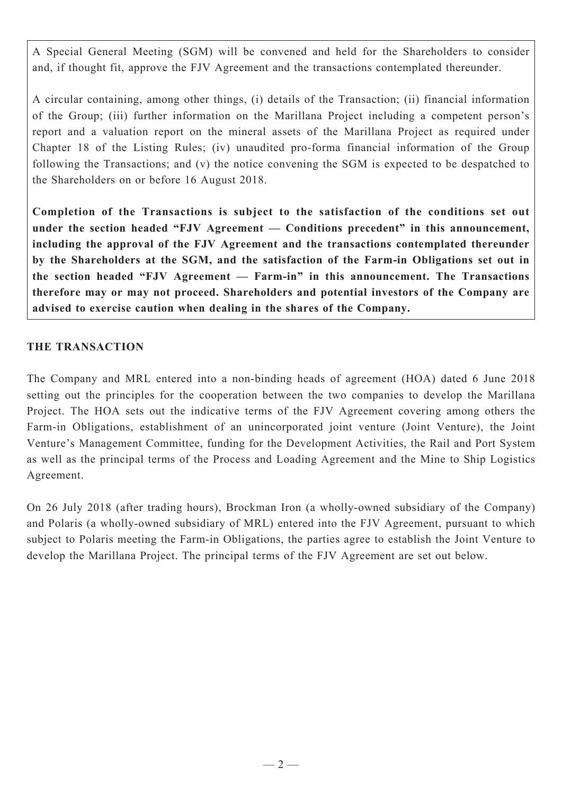A Special General Meeting (SGM) will be convened and held for the Shareholders to consider and, if thought fit, approve the FJV Agreement and the transactions contemplated thereunder.

A circular containing, among other things, (i) details of the Transaction; (ii) financial information of the Group; (iii) further information on the Marillana Project including a competent person's report and a valuation report on the mineral assets of the Marillana Project as required under Chapter 18 of the Listing Rules; (iv) unaudited pro-forma financial information of the Group following the Transactions; and (v) the notice convening the SGM is expected to be despatched to the Shareholders on or before 16 August 2018.

**Completion of the Transactions is subject to the satisfaction of the conditions set out under the section headed "FJV Agreement — Conditions precedent" in this announcement, including the approval of the FJV Agreement and the transactions contemplated thereunder by the Shareholders at the SGM, and the satisfaction of the Farm-in Obligations set out in the section headed "FJV Agreement — Farm-in" in this announcement. The Transactions therefore may or may not proceed. Shareholders and potential investors of the Company are advised to exercise caution when dealing in the shares of the Company.**

## **THE TRANSACTION**

The Company and MRL entered into a non-binding heads of agreement (HOA) dated 6 June 2018 setting out the principles for the cooperation between the two companies to develop the Marillana Project. The HOA sets out the indicative terms of the FJV Agreement covering among others the Farm-in Obligations, establishment of an unincorporated joint venture (Joint Venture), the Joint Venture's Management Committee, funding for the Development Activities, the Rail and Port System as well as the principal terms of the Process and Loading Agreement and the Mine to Ship Logistics Agreement.

On 26 July 2018 (after trading hours), Brockman Iron (a wholly-owned subsidiary of the Company) and Polaris (a wholly-owned subsidiary of MRL) entered into the FJV Agreement, pursuant to which subject to Polaris meeting the Farm-in Obligations, the parties agree to establish the Joint Venture to develop the Marillana Project. The principal terms of the FJV Agreement are set out below.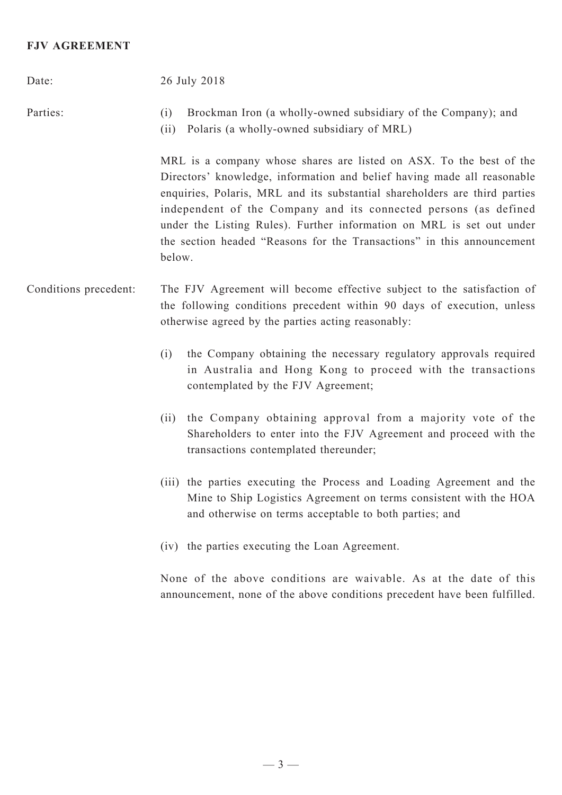## **FJV AGREEMENT**

| Date:                 | 26 July 2018                                                                                                                                                                                                                                                                                                                                                                                                                                                  |  |  |  |
|-----------------------|---------------------------------------------------------------------------------------------------------------------------------------------------------------------------------------------------------------------------------------------------------------------------------------------------------------------------------------------------------------------------------------------------------------------------------------------------------------|--|--|--|
| Parties:              | Brockman Iron (a wholly-owned subsidiary of the Company); and<br>(i)<br>Polaris (a wholly-owned subsidiary of MRL)<br>(ii)                                                                                                                                                                                                                                                                                                                                    |  |  |  |
|                       | MRL is a company whose shares are listed on ASX. To the best of the<br>Directors' knowledge, information and belief having made all reasonable<br>enquiries, Polaris, MRL and its substantial shareholders are third parties<br>independent of the Company and its connected persons (as defined<br>under the Listing Rules). Further information on MRL is set out under<br>the section headed "Reasons for the Transactions" in this announcement<br>below. |  |  |  |
| Conditions precedent: | The FJV Agreement will become effective subject to the satisfaction of<br>the following conditions precedent within 90 days of execution, unless<br>otherwise agreed by the parties acting reasonably:                                                                                                                                                                                                                                                        |  |  |  |
|                       | the Company obtaining the necessary regulatory approvals required<br>(i)<br>in Australia and Hong Kong to proceed with the transactions<br>contemplated by the FJV Agreement;                                                                                                                                                                                                                                                                                 |  |  |  |
|                       | the Company obtaining approval from a majority vote of the<br>(ii)<br>Shareholders to enter into the FJV Agreement and proceed with the<br>transactions contemplated thereunder;                                                                                                                                                                                                                                                                              |  |  |  |
|                       | (iii) the parties executing the Process and Loading Agreement and the<br>Mine to Ship Logistics Agreement on terms consistent with the HOA<br>and otherwise on terms acceptable to both parties; and                                                                                                                                                                                                                                                          |  |  |  |
|                       | (iv) the parties executing the Loan Agreement.                                                                                                                                                                                                                                                                                                                                                                                                                |  |  |  |
|                       | None of the above conditions are waivable. As at the date of this<br>announcement, none of the above conditions precedent have been fulfilled.                                                                                                                                                                                                                                                                                                                |  |  |  |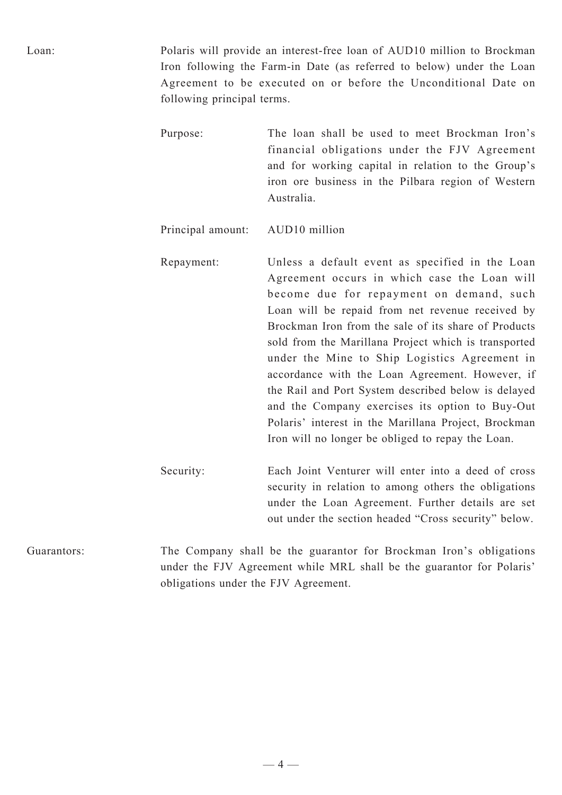Loan: Polaris will provide an interest-free loan of AUD10 million to Brockman Iron following the Farm-in Date (as referred to below) under the Loan Agreement to be executed on or before the Unconditional Date on following principal terms.

> Purpose: The loan shall be used to meet Brockman Iron's financial obligations under the FJV Agreement and for working capital in relation to the Group's iron ore business in the Pilbara region of Western Australia.

Principal amount: AUD10 million

Repayment: Unless a default event as specified in the Loan Agreement occurs in which case the Loan will become due for repayment on demand, such Loan will be repaid from net revenue received by Brockman Iron from the sale of its share of Products sold from the Marillana Project which is transported under the Mine to Ship Logistics Agreement in accordance with the Loan Agreement. However, if the Rail and Port System described below is delayed and the Company exercises its option to Buy-Out Polaris' interest in the Marillana Project, Brockman Iron will no longer be obliged to repay the Loan.

Security: Each Joint Venturer will enter into a deed of cross security in relation to among others the obligations under the Loan Agreement. Further details are set out under the section headed "Cross security" below.

Guarantors: The Company shall be the guarantor for Brockman Iron's obligations under the FJV Agreement while MRL shall be the guarantor for Polaris' obligations under the FJV Agreement.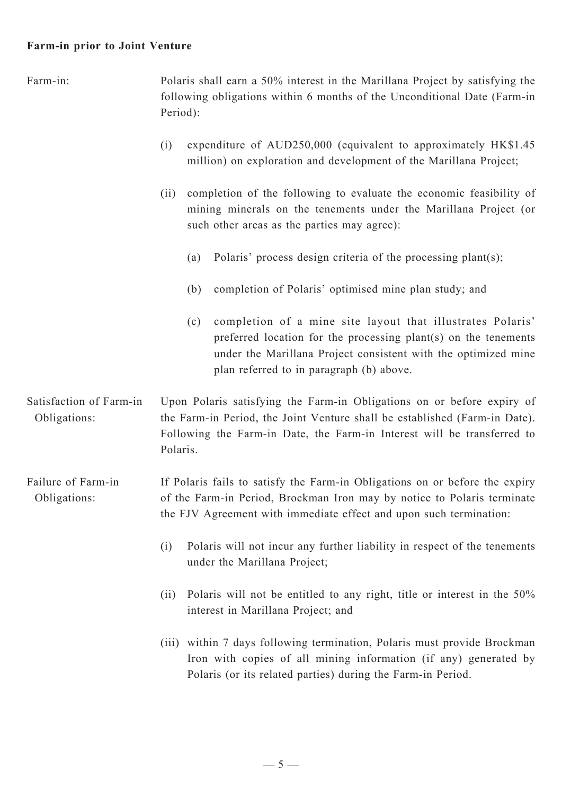#### **Farm-in prior to Joint Venture**

Farm-in: Polaris shall earn a 50% interest in the Marillana Project by satisfying the following obligations within 6 months of the Unconditional Date (Farm-in Period): (i) expenditure of AUD250,000 (equivalent to approximately HK\$1.45 million) on exploration and development of the Marillana Project; (ii) completion of the following to evaluate the economic feasibility of mining minerals on the tenements under the Marillana Project (or such other areas as the parties may agree): (a) Polaris' process design criteria of the processing plant(s); (b) completion of Polaris' optimised mine plan study; and (c) completion of a mine site layout that illustrates Polaris' preferred location for the processing plant(s) on the tenements under the Marillana Project consistent with the optimized mine plan referred to in paragraph (b) above. Satisfaction of Farm-in Obligations: Upon Polaris satisfying the Farm-in Obligations on or before expiry of the Farm-in Period, the Joint Venture shall be established (Farm-in Date). Following the Farm-in Date, the Farm-in Interest will be transferred to Polaris. Failure of Farm-in Obligations: If Polaris fails to satisfy the Farm-in Obligations on or before the expiry of the Farm-in Period, Brockman Iron may by notice to Polaris terminate the FJV Agreement with immediate effect and upon such termination: (i) Polaris will not incur any further liability in respect of the tenements under the Marillana Project; (ii) Polaris will not be entitled to any right, title or interest in the 50% interest in Marillana Project; and (iii) within 7 days following termination, Polaris must provide Brockman Iron with copies of all mining information (if any) generated by Polaris (or its related parties) during the Farm-in Period.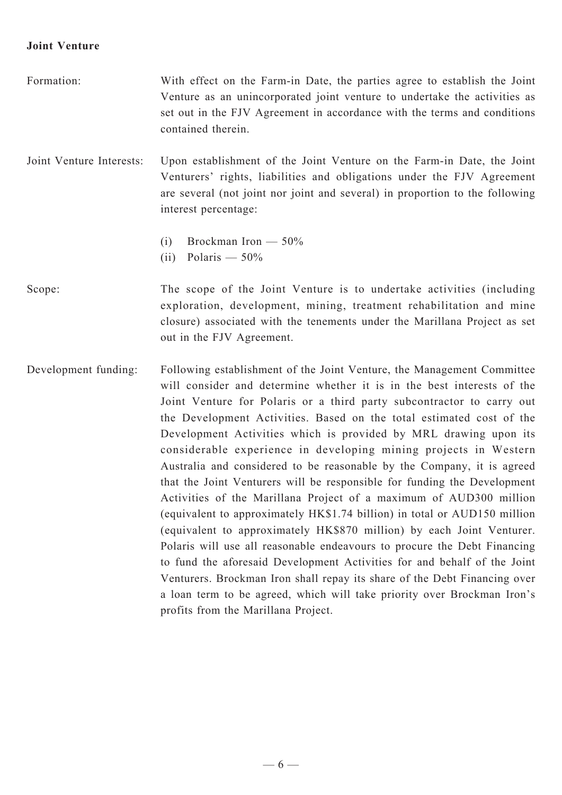#### **Joint Venture**

- Formation: With effect on the Farm-in Date, the parties agree to establish the Joint Venture as an unincorporated joint venture to undertake the activities as set out in the FJV Agreement in accordance with the terms and conditions contained therein. Joint Venture Interests: Upon establishment of the Joint Venture on the Farm-in Date, the Joint Venturers' rights, liabilities and obligations under the FJV Agreement
	- are several (not joint nor joint and several) in proportion to the following interest percentage:
		- (i) Brockman Iron 50%
		- (ii) Polaris 50%
- Scope: The scope of the Joint Venture is to undertake activities (including exploration, development, mining, treatment rehabilitation and mine closure) associated with the tenements under the Marillana Project as set out in the FJV Agreement.
- Development funding: Following establishment of the Joint Venture, the Management Committee will consider and determine whether it is in the best interests of the Joint Venture for Polaris or a third party subcontractor to carry out the Development Activities. Based on the total estimated cost of the Development Activities which is provided by MRL drawing upon its considerable experience in developing mining projects in Western Australia and considered to be reasonable by the Company, it is agreed that the Joint Venturers will be responsible for funding the Development Activities of the Marillana Project of a maximum of AUD300 million (equivalent to approximately HK\$1.74 billion) in total or AUD150 million (equivalent to approximately HK\$870 million) by each Joint Venturer. Polaris will use all reasonable endeavours to procure the Debt Financing to fund the aforesaid Development Activities for and behalf of the Joint Venturers. Brockman Iron shall repay its share of the Debt Financing over a loan term to be agreed, which will take priority over Brockman Iron's profits from the Marillana Project.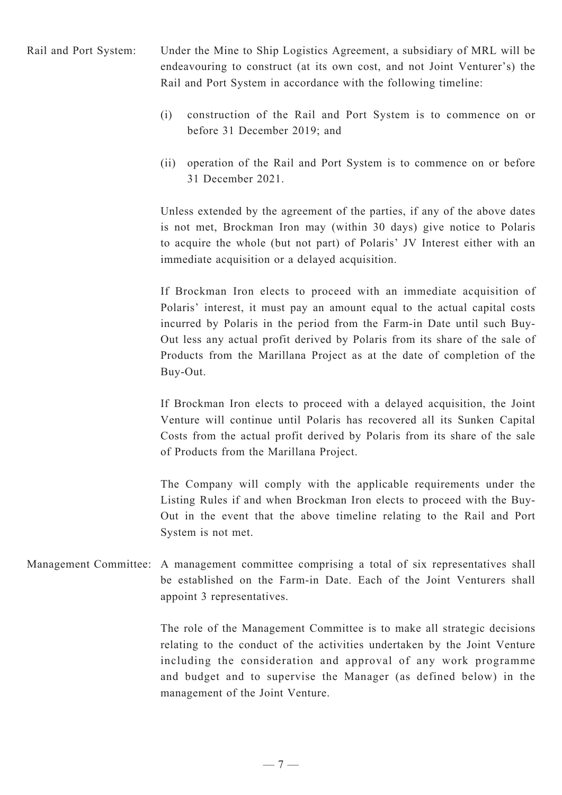Rail and Port System: Under the Mine to Ship Logistics Agreement, a subsidiary of MRL will be endeavouring to construct (at its own cost, and not Joint Venturer's) the Rail and Port System in accordance with the following timeline:

- (i) construction of the Rail and Port System is to commence on or before 31 December 2019; and
- (ii) operation of the Rail and Port System is to commence on or before 31 December 2021.

Unless extended by the agreement of the parties, if any of the above dates is not met, Brockman Iron may (within 30 days) give notice to Polaris to acquire the whole (but not part) of Polaris' JV Interest either with an immediate acquisition or a delayed acquisition.

If Brockman Iron elects to proceed with an immediate acquisition of Polaris' interest, it must pay an amount equal to the actual capital costs incurred by Polaris in the period from the Farm-in Date until such Buy-Out less any actual profit derived by Polaris from its share of the sale of Products from the Marillana Project as at the date of completion of the Buy-Out.

If Brockman Iron elects to proceed with a delayed acquisition, the Joint Venture will continue until Polaris has recovered all its Sunken Capital Costs from the actual profit derived by Polaris from its share of the sale of Products from the Marillana Project.

The Company will comply with the applicable requirements under the Listing Rules if and when Brockman Iron elects to proceed with the Buy-Out in the event that the above timeline relating to the Rail and Port System is not met.

Management Committee: A management committee comprising a total of six representatives shall be established on the Farm-in Date. Each of the Joint Venturers shall appoint 3 representatives.

> The role of the Management Committee is to make all strategic decisions relating to the conduct of the activities undertaken by the Joint Venture including the consideration and approval of any work programme and budget and to supervise the Manager (as defined below) in the management of the Joint Venture.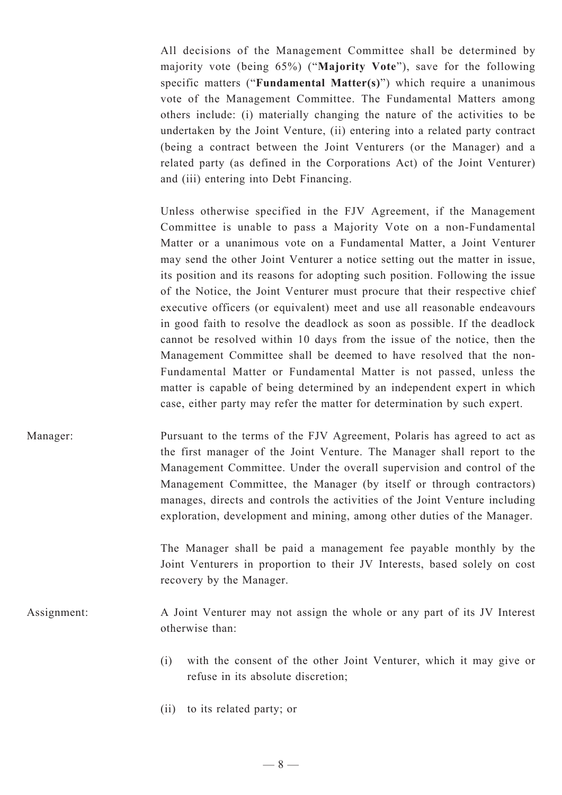All decisions of the Management Committee shall be determined by majority vote (being 65%) ("**Majority Vote**"), save for the following specific matters ("**Fundamental Matter(s)**") which require a unanimous vote of the Management Committee. The Fundamental Matters among others include: (i) materially changing the nature of the activities to be undertaken by the Joint Venture, (ii) entering into a related party contract (being a contract between the Joint Venturers (or the Manager) and a related party (as defined in the Corporations Act) of the Joint Venturer) and (iii) entering into Debt Financing.

Unless otherwise specified in the FJV Agreement, if the Management Committee is unable to pass a Majority Vote on a non-Fundamental Matter or a unanimous vote on a Fundamental Matter, a Joint Venturer may send the other Joint Venturer a notice setting out the matter in issue, its position and its reasons for adopting such position. Following the issue of the Notice, the Joint Venturer must procure that their respective chief executive officers (or equivalent) meet and use all reasonable endeavours in good faith to resolve the deadlock as soon as possible. If the deadlock cannot be resolved within 10 days from the issue of the notice, then the Management Committee shall be deemed to have resolved that the non-Fundamental Matter or Fundamental Matter is not passed, unless the matter is capable of being determined by an independent expert in which case, either party may refer the matter for determination by such expert.

Manager: Pursuant to the terms of the FJV Agreement, Polaris has agreed to act as the first manager of the Joint Venture. The Manager shall report to the Management Committee. Under the overall supervision and control of the Management Committee, the Manager (by itself or through contractors) manages, directs and controls the activities of the Joint Venture including exploration, development and mining, among other duties of the Manager.

> The Manager shall be paid a management fee payable monthly by the Joint Venturers in proportion to their JV Interests, based solely on cost recovery by the Manager.

- Assignment: A Joint Venturer may not assign the whole or any part of its JV Interest otherwise than:
	- (i) with the consent of the other Joint Venturer, which it may give or refuse in its absolute discretion;
	- (ii) to its related party; or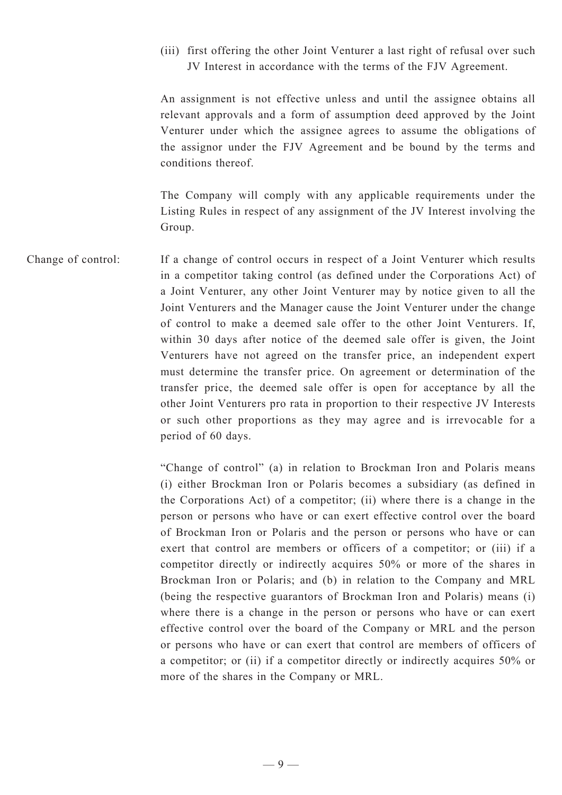(iii) first offering the other Joint Venturer a last right of refusal over such JV Interest in accordance with the terms of the FJV Agreement.

An assignment is not effective unless and until the assignee obtains all relevant approvals and a form of assumption deed approved by the Joint Venturer under which the assignee agrees to assume the obligations of the assignor under the FJV Agreement and be bound by the terms and conditions thereof.

The Company will comply with any applicable requirements under the Listing Rules in respect of any assignment of the JV Interest involving the Group.

Change of control: If a change of control occurs in respect of a Joint Venturer which results in a competitor taking control (as defined under the Corporations Act) of a Joint Venturer, any other Joint Venturer may by notice given to all the Joint Venturers and the Manager cause the Joint Venturer under the change of control to make a deemed sale offer to the other Joint Venturers. If, within 30 days after notice of the deemed sale offer is given, the Joint Venturers have not agreed on the transfer price, an independent expert must determine the transfer price. On agreement or determination of the transfer price, the deemed sale offer is open for acceptance by all the other Joint Venturers pro rata in proportion to their respective JV Interests or such other proportions as they may agree and is irrevocable for a period of 60 days.

> "Change of control" (a) in relation to Brockman Iron and Polaris means (i) either Brockman Iron or Polaris becomes a subsidiary (as defined in the Corporations Act) of a competitor; (ii) where there is a change in the person or persons who have or can exert effective control over the board of Brockman Iron or Polaris and the person or persons who have or can exert that control are members or officers of a competitor; or (iii) if a competitor directly or indirectly acquires 50% or more of the shares in Brockman Iron or Polaris; and (b) in relation to the Company and MRL (being the respective guarantors of Brockman Iron and Polaris) means (i) where there is a change in the person or persons who have or can exert effective control over the board of the Company or MRL and the person or persons who have or can exert that control are members of officers of a competitor; or (ii) if a competitor directly or indirectly acquires 50% or more of the shares in the Company or MRL.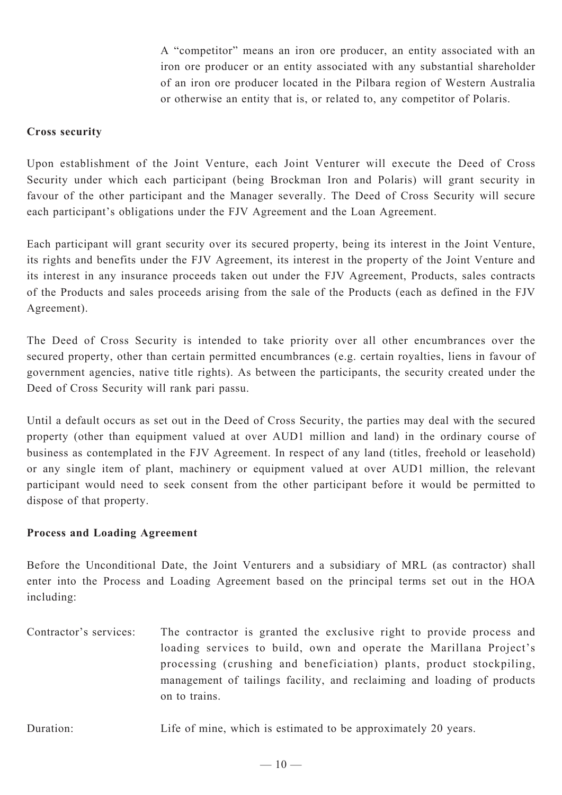A "competitor" means an iron ore producer, an entity associated with an iron ore producer or an entity associated with any substantial shareholder of an iron ore producer located in the Pilbara region of Western Australia or otherwise an entity that is, or related to, any competitor of Polaris.

#### **Cross security**

Upon establishment of the Joint Venture, each Joint Venturer will execute the Deed of Cross Security under which each participant (being Brockman Iron and Polaris) will grant security in favour of the other participant and the Manager severally. The Deed of Cross Security will secure each participant's obligations under the FJV Agreement and the Loan Agreement.

Each participant will grant security over its secured property, being its interest in the Joint Venture, its rights and benefits under the FJV Agreement, its interest in the property of the Joint Venture and its interest in any insurance proceeds taken out under the FJV Agreement, Products, sales contracts of the Products and sales proceeds arising from the sale of the Products (each as defined in the FJV Agreement).

The Deed of Cross Security is intended to take priority over all other encumbrances over the secured property, other than certain permitted encumbrances (e.g. certain royalties, liens in favour of government agencies, native title rights). As between the participants, the security created under the Deed of Cross Security will rank pari passu.

Until a default occurs as set out in the Deed of Cross Security, the parties may deal with the secured property (other than equipment valued at over AUD1 million and land) in the ordinary course of business as contemplated in the FJV Agreement. In respect of any land (titles, freehold or leasehold) or any single item of plant, machinery or equipment valued at over AUD1 million, the relevant participant would need to seek consent from the other participant before it would be permitted to dispose of that property.

#### **Process and Loading Agreement**

Before the Unconditional Date, the Joint Venturers and a subsidiary of MRL (as contractor) shall enter into the Process and Loading Agreement based on the principal terms set out in the HOA including:

Contractor's services: The contractor is granted the exclusive right to provide process and loading services to build, own and operate the Marillana Project's processing (crushing and beneficiation) plants, product stockpiling, management of tailings facility, and reclaiming and loading of products on to trains.

Duration: Life of mine, which is estimated to be approximately 20 years.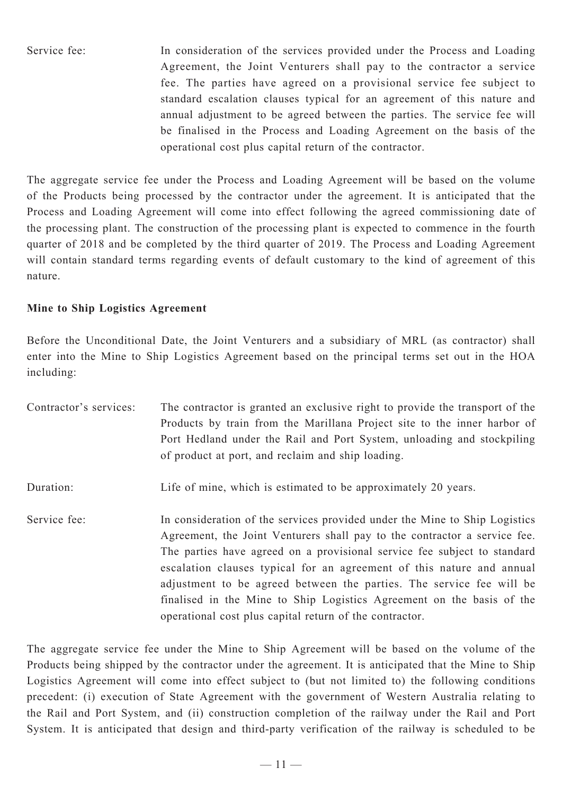Service fee: In consideration of the services provided under the Process and Loading Agreement, the Joint Venturers shall pay to the contractor a service fee. The parties have agreed on a provisional service fee subject to standard escalation clauses typical for an agreement of this nature and annual adjustment to be agreed between the parties. The service fee will be finalised in the Process and Loading Agreement on the basis of the operational cost plus capital return of the contractor.

The aggregate service fee under the Process and Loading Agreement will be based on the volume of the Products being processed by the contractor under the agreement. It is anticipated that the Process and Loading Agreement will come into effect following the agreed commissioning date of the processing plant. The construction of the processing plant is expected to commence in the fourth quarter of 2018 and be completed by the third quarter of 2019. The Process and Loading Agreement will contain standard terms regarding events of default customary to the kind of agreement of this nature.

## **Mine to Ship Logistics Agreement**

Before the Unconditional Date, the Joint Venturers and a subsidiary of MRL (as contractor) shall enter into the Mine to Ship Logistics Agreement based on the principal terms set out in the HOA including:

| Contractor's services: | The contractor is granted an exclusive right to provide the transport of the<br>Products by train from the Marillana Project site to the inner harbor of<br>Port Hedland under the Rail and Port System, unloading and stockpiling<br>of product at port, and reclaim and ship loading.                                                                                                                                                                                                                                  |
|------------------------|--------------------------------------------------------------------------------------------------------------------------------------------------------------------------------------------------------------------------------------------------------------------------------------------------------------------------------------------------------------------------------------------------------------------------------------------------------------------------------------------------------------------------|
| Duration:              | Life of mine, which is estimated to be approximately 20 years.                                                                                                                                                                                                                                                                                                                                                                                                                                                           |
| Service fee:           | In consideration of the services provided under the Mine to Ship Logistics<br>Agreement, the Joint Venturers shall pay to the contractor a service fee.<br>The parties have agreed on a provisional service fee subject to standard<br>escalation clauses typical for an agreement of this nature and annual<br>adjustment to be agreed between the parties. The service fee will be<br>finalised in the Mine to Ship Logistics Agreement on the basis of the<br>operational cost plus capital return of the contractor. |

The aggregate service fee under the Mine to Ship Agreement will be based on the volume of the Products being shipped by the contractor under the agreement. It is anticipated that the Mine to Ship Logistics Agreement will come into effect subject to (but not limited to) the following conditions precedent: (i) execution of State Agreement with the government of Western Australia relating to the Rail and Port System, and (ii) construction completion of the railway under the Rail and Port System. It is anticipated that design and third-party verification of the railway is scheduled to be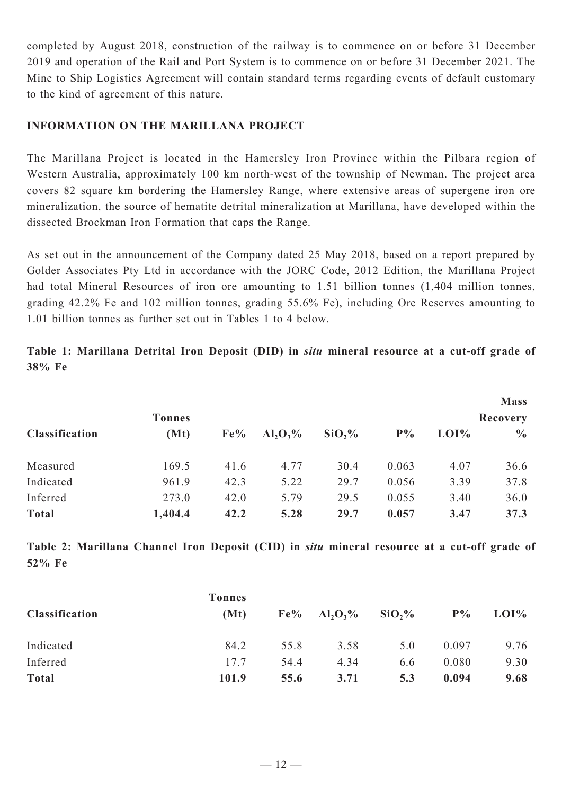completed by August 2018, construction of the railway is to commence on or before 31 December 2019 and operation of the Rail and Port System is to commence on or before 31 December 2021. The Mine to Ship Logistics Agreement will contain standard terms regarding events of default customary to the kind of agreement of this nature.

#### **INFORMATION ON THE MARILLANA PROJECT**

The Marillana Project is located in the Hamersley Iron Province within the Pilbara region of Western Australia, approximately 100 km north-west of the township of Newman. The project area covers 82 square km bordering the Hamersley Range, where extensive areas of supergene iron ore mineralization, the source of hematite detrital mineralization at Marillana, have developed within the dissected Brockman Iron Formation that caps the Range.

As set out in the announcement of the Company dated 25 May 2018, based on a report prepared by Golder Associates Pty Ltd in accordance with the JORC Code, 2012 Edition, the Marillana Project had total Mineral Resources of iron ore amounting to 1.51 billion tonnes (1,404 million tonnes, grading 42.2% Fe and 102 million tonnes, grading 55.6% Fe), including Ore Reserves amounting to 1.01 billion tonnes as further set out in Tables 1 to 4 below.

**Table 1: Marillana Detrital Iron Deposit (DID) in** *situ* **mineral resource at a cut-off grade of 38% Fe**

|                       |               |        |             |          |       |      | <b>Mass</b>     |
|-----------------------|---------------|--------|-------------|----------|-------|------|-----------------|
|                       | <b>Tonnes</b> |        |             |          |       |      | <b>Recovery</b> |
| <b>Classification</b> | (Mt)          | $Fe\%$ | $Al_2O_3\%$ | $SiO2$ % | $P\%$ | LOI% | $\frac{0}{0}$   |
| Measured              | 169.5         | 41.6   | 4.77        | 30.4     | 0.063 | 4.07 | 36.6            |
| Indicated             | 961.9         | 42.3   | 5.22        | 29.7     | 0.056 | 3.39 | 37.8            |
| Inferred              | 273.0         | 42.0   | 5.79        | 29.5     | 0.055 | 3.40 | 36.0            |
| <b>Total</b>          | 1,404.4       | 42.2   | 5.28        | 29.7     | 0.057 | 3.47 | 37.3            |

**Table 2: Marillana Channel Iron Deposit (CID) in** *situ* **mineral resource at a cut-off grade of 52% Fe**

|                       | <b>Tonnes</b> |      |                                         |                    |       |      |
|-----------------------|---------------|------|-----------------------------------------|--------------------|-------|------|
| <b>Classification</b> | (Mt)          |      | $Fe\%$ Al <sub>2</sub> O <sub>3</sub> % | SiO <sub>2</sub> % | $P\%$ | LOI% |
| Indicated             | 84.2          | 55.8 | 3.58                                    | 5.0                | 0.097 | 9.76 |
| Inferred              | 17.7          | 54.4 | 4.34                                    | 6.6                | 0.080 | 9.30 |
| <b>Total</b>          | 101.9         | 55.6 | 3.71                                    | 5.3                | 0.094 | 9.68 |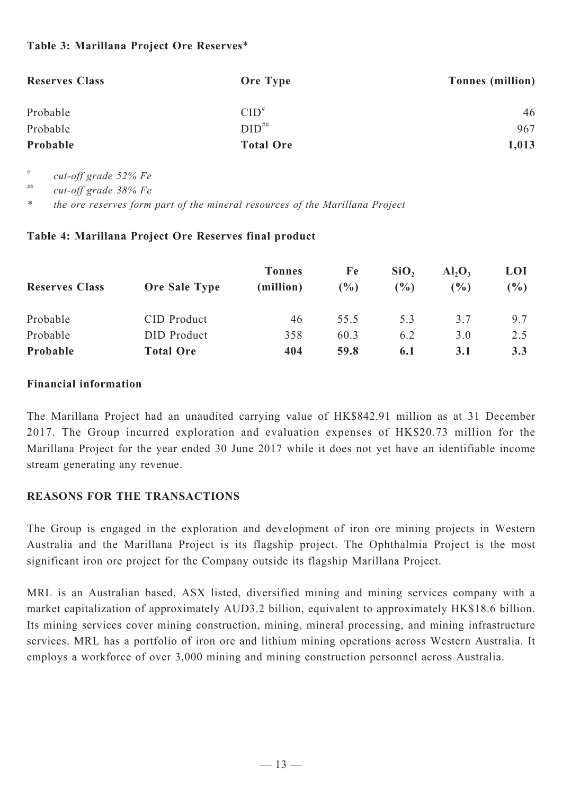### **Table 3: Marillana Project Ore Reserves**\*

| <b>Reserves Class</b> | <b>Ore Type</b>  | Tonnes (million) |
|-----------------------|------------------|------------------|
| Probable              | $CID^*$          | 46               |
| Probable              | $DID^{\# \#}$    | 967              |
| Probable              | <b>Total Ore</b> | 1,013            |

*# cut-off grade 52% Fe*

*## cut-off grade 38% Fe*

*\* the ore reserves form part of the mineral resources of the Marillana Project*

#### **Table 4: Marillana Project Ore Reserves final product**

| <b>Reserves Class</b> | <b>Ore Sale Type</b> | <b>Tonnes</b><br>(million) | Fe<br>$\frac{9}{6}$ | SiO <sub>2</sub><br>(%) | $AI_2O_3$<br>$\binom{0}{0}$ | <b>LOI</b><br>$(\%)$ |
|-----------------------|----------------------|----------------------------|---------------------|-------------------------|-----------------------------|----------------------|
| Probable              | CID Product          | 46                         | 555                 | 5.3                     | 3.7                         | 9.7                  |
| Probable              | DID Product          | 358                        | 60.3                | 6.2                     | 3.0                         | 2.5                  |
| Probable              | <b>Total Ore</b>     | 404                        | 59.8                | 6.1                     | 3.1                         | 3.3                  |

#### **Financial information**

The Marillana Project had an unaudited carrying value of HK\$842.91 million as at 31 December 2017. The Group incurred exploration and evaluation expenses of HK\$20.73 million for the Marillana Project for the year ended 30 June 2017 while it does not yet have an identifiable income stream generating any revenue.

#### **REASONS FOR THE TRANSACTIONS**

The Group is engaged in the exploration and development of iron ore mining projects in Western Australia and the Marillana Project is its flagship project. The Ophthalmia Project is the most significant iron ore project for the Company outside its flagship Marillana Project.

MRL is an Australian based, ASX listed, diversified mining and mining services company with a market capitalization of approximately AUD3.2 billion, equivalent to approximately HK\$18.6 billion. Its mining services cover mining construction, mining, mineral processing, and mining infrastructure services. MRL has a portfolio of iron ore and lithium mining operations across Western Australia. It employs a workforce of over 3,000 mining and mining construction personnel across Australia.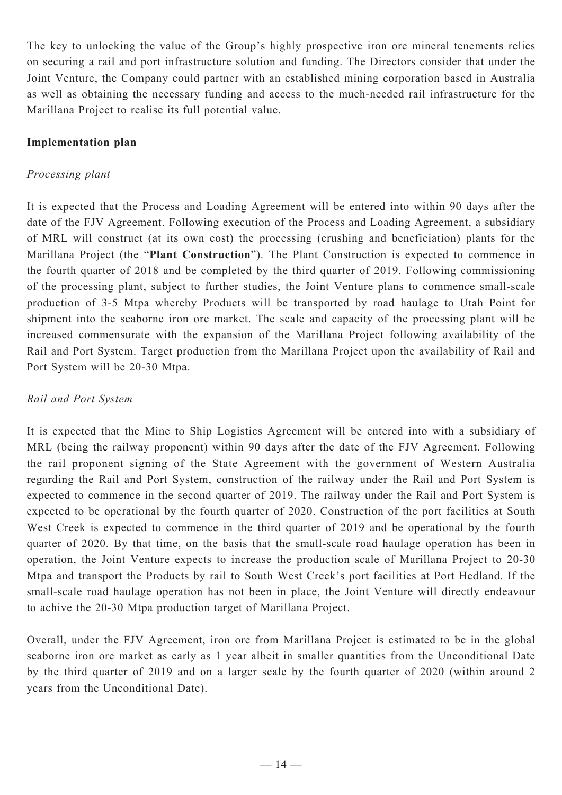The key to unlocking the value of the Group's highly prospective iron ore mineral tenements relies on securing a rail and port infrastructure solution and funding. The Directors consider that under the Joint Venture, the Company could partner with an established mining corporation based in Australia as well as obtaining the necessary funding and access to the much-needed rail infrastructure for the Marillana Project to realise its full potential value.

#### **Implementation plan**

## *Processing plant*

It is expected that the Process and Loading Agreement will be entered into within 90 days after the date of the FJV Agreement. Following execution of the Process and Loading Agreement, a subsidiary of MRL will construct (at its own cost) the processing (crushing and beneficiation) plants for the Marillana Project (the "**Plant Construction**"). The Plant Construction is expected to commence in the fourth quarter of 2018 and be completed by the third quarter of 2019. Following commissioning of the processing plant, subject to further studies, the Joint Venture plans to commence small-scale production of 3-5 Mtpa whereby Products will be transported by road haulage to Utah Point for shipment into the seaborne iron ore market. The scale and capacity of the processing plant will be increased commensurate with the expansion of the Marillana Project following availability of the Rail and Port System. Target production from the Marillana Project upon the availability of Rail and Port System will be 20-30 Mtpa.

## *Rail and Port System*

It is expected that the Mine to Ship Logistics Agreement will be entered into with a subsidiary of MRL (being the railway proponent) within 90 days after the date of the FJV Agreement. Following the rail proponent signing of the State Agreement with the government of Western Australia regarding the Rail and Port System, construction of the railway under the Rail and Port System is expected to commence in the second quarter of 2019. The railway under the Rail and Port System is expected to be operational by the fourth quarter of 2020. Construction of the port facilities at South West Creek is expected to commence in the third quarter of 2019 and be operational by the fourth quarter of 2020. By that time, on the basis that the small-scale road haulage operation has been in operation, the Joint Venture expects to increase the production scale of Marillana Project to 20-30 Mtpa and transport the Products by rail to South West Creek's port facilities at Port Hedland. If the small-scale road haulage operation has not been in place, the Joint Venture will directly endeavour to achive the 20-30 Mtpa production target of Marillana Project.

Overall, under the FJV Agreement, iron ore from Marillana Project is estimated to be in the global seaborne iron ore market as early as 1 year albeit in smaller quantities from the Unconditional Date by the third quarter of 2019 and on a larger scale by the fourth quarter of 2020 (within around 2 years from the Unconditional Date).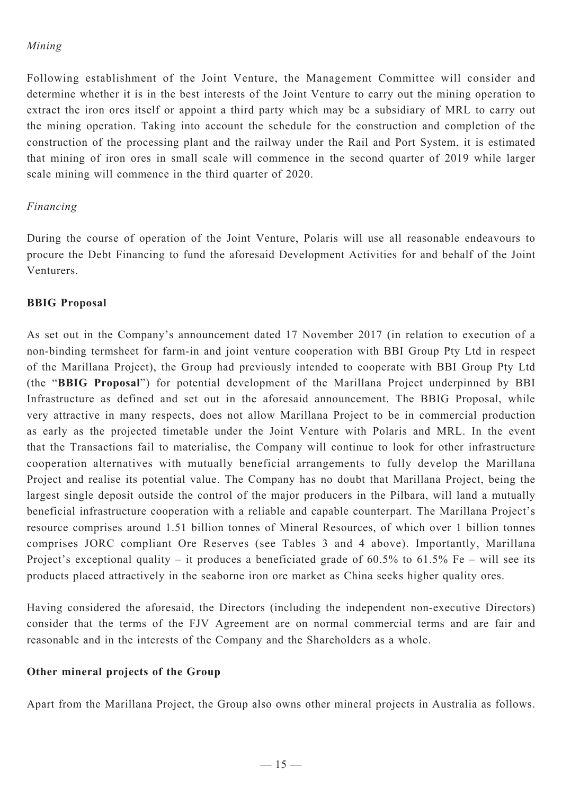## *Mining*

Following establishment of the Joint Venture, the Management Committee will consider and determine whether it is in the best interests of the Joint Venture to carry out the mining operation to extract the iron ores itself or appoint a third party which may be a subsidiary of MRL to carry out the mining operation. Taking into account the schedule for the construction and completion of the construction of the processing plant and the railway under the Rail and Port System, it is estimated that mining of iron ores in small scale will commence in the second quarter of 2019 while larger scale mining will commence in the third quarter of 2020.

#### *Financing*

During the course of operation of the Joint Venture, Polaris will use all reasonable endeavours to procure the Debt Financing to fund the aforesaid Development Activities for and behalf of the Joint Venturers.

#### **BBIG Proposal**

As set out in the Company's announcement dated 17 November 2017 (in relation to execution of a non-binding termsheet for farm-in and joint venture cooperation with BBI Group Pty Ltd in respect of the Marillana Project), the Group had previously intended to cooperate with BBI Group Pty Ltd (the "**BBIG Proposal**") for potential development of the Marillana Project underpinned by BBI Infrastructure as defined and set out in the aforesaid announcement. The BBIG Proposal, while very attractive in many respects, does not allow Marillana Project to be in commercial production as early as the projected timetable under the Joint Venture with Polaris and MRL. In the event that the Transactions fail to materialise, the Company will continue to look for other infrastructure cooperation alternatives with mutually beneficial arrangements to fully develop the Marillana Project and realise its potential value. The Company has no doubt that Marillana Project, being the largest single deposit outside the control of the major producers in the Pilbara, will land a mutually beneficial infrastructure cooperation with a reliable and capable counterpart. The Marillana Project's resource comprises around 1.51 billion tonnes of Mineral Resources, of which over 1 billion tonnes comprises JORC compliant Ore Reserves (see Tables 3 and 4 above). Importantly, Marillana Project's exceptional quality – it produces a beneficiated grade of 60.5% to 61.5% Fe – will see its products placed attractively in the seaborne iron ore market as China seeks higher quality ores.

Having considered the aforesaid, the Directors (including the independent non-executive Directors) consider that the terms of the FJV Agreement are on normal commercial terms and are fair and reasonable and in the interests of the Company and the Shareholders as a whole.

## **Other mineral projects of the Group**

Apart from the Marillana Project, the Group also owns other mineral projects in Australia as follows.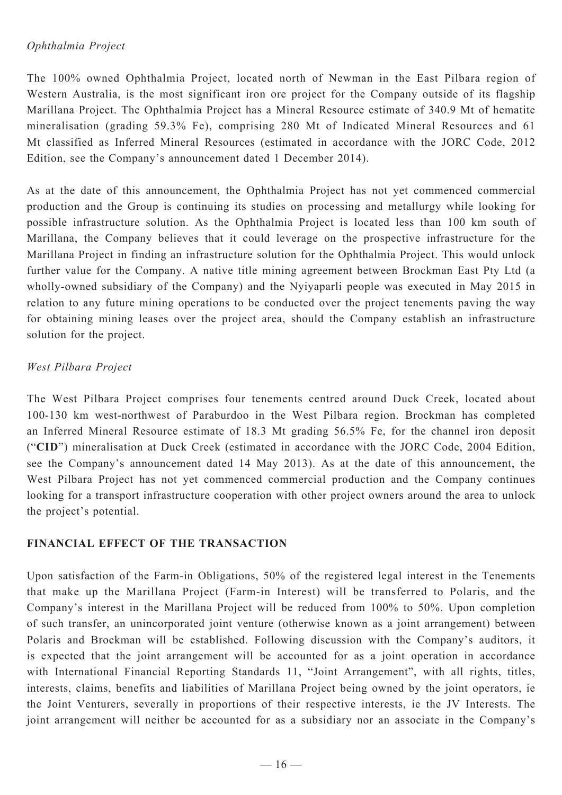#### *Ophthalmia Project*

The 100% owned Ophthalmia Project, located north of Newman in the East Pilbara region of Western Australia, is the most significant iron ore project for the Company outside of its flagship Marillana Project. The Ophthalmia Project has a Mineral Resource estimate of 340.9 Mt of hematite mineralisation (grading 59.3% Fe), comprising 280 Mt of Indicated Mineral Resources and 61 Mt classified as Inferred Mineral Resources (estimated in accordance with the JORC Code, 2012 Edition, see the Company's announcement dated 1 December 2014).

As at the date of this announcement, the Ophthalmia Project has not yet commenced commercial production and the Group is continuing its studies on processing and metallurgy while looking for possible infrastructure solution. As the Ophthalmia Project is located less than 100 km south of Marillana, the Company believes that it could leverage on the prospective infrastructure for the Marillana Project in finding an infrastructure solution for the Ophthalmia Project. This would unlock further value for the Company. A native title mining agreement between Brockman East Pty Ltd (a wholly-owned subsidiary of the Company) and the Nyiyaparli people was executed in May 2015 in relation to any future mining operations to be conducted over the project tenements paving the way for obtaining mining leases over the project area, should the Company establish an infrastructure solution for the project.

#### *West Pilbara Project*

The West Pilbara Project comprises four tenements centred around Duck Creek, located about 100-130 km west-northwest of Paraburdoo in the West Pilbara region. Brockman has completed an Inferred Mineral Resource estimate of 18.3 Mt grading 56.5% Fe, for the channel iron deposit ("**CID**") mineralisation at Duck Creek (estimated in accordance with the JORC Code, 2004 Edition, see the Company's announcement dated 14 May 2013). As at the date of this announcement, the West Pilbara Project has not yet commenced commercial production and the Company continues looking for a transport infrastructure cooperation with other project owners around the area to unlock the project's potential.

## **FINANCIAL EFFECT OF THE TRANSACTION**

Upon satisfaction of the Farm-in Obligations, 50% of the registered legal interest in the Tenements that make up the Marillana Project (Farm-in Interest) will be transferred to Polaris, and the Company's interest in the Marillana Project will be reduced from 100% to 50%. Upon completion of such transfer, an unincorporated joint venture (otherwise known as a joint arrangement) between Polaris and Brockman will be established. Following discussion with the Company's auditors, it is expected that the joint arrangement will be accounted for as a joint operation in accordance with International Financial Reporting Standards 11, "Joint Arrangement", with all rights, titles, interests, claims, benefits and liabilities of Marillana Project being owned by the joint operators, ie the Joint Venturers, severally in proportions of their respective interests, ie the JV Interests. The joint arrangement will neither be accounted for as a subsidiary nor an associate in the Company's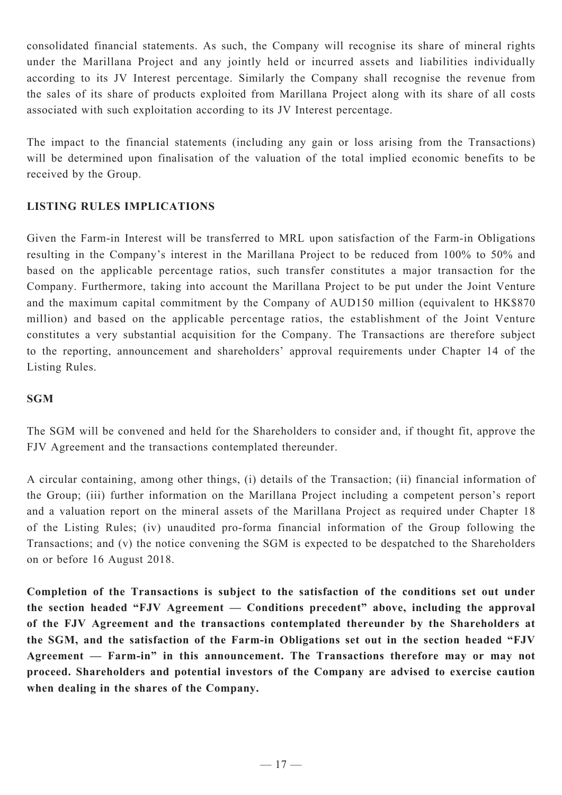consolidated financial statements. As such, the Company will recognise its share of mineral rights under the Marillana Project and any jointly held or incurred assets and liabilities individually according to its JV Interest percentage. Similarly the Company shall recognise the revenue from the sales of its share of products exploited from Marillana Project along with its share of all costs associated with such exploitation according to its JV Interest percentage.

The impact to the financial statements (including any gain or loss arising from the Transactions) will be determined upon finalisation of the valuation of the total implied economic benefits to be received by the Group.

## **LISTING RULES IMPLICATIONS**

Given the Farm-in Interest will be transferred to MRL upon satisfaction of the Farm-in Obligations resulting in the Company's interest in the Marillana Project to be reduced from 100% to 50% and based on the applicable percentage ratios, such transfer constitutes a major transaction for the Company. Furthermore, taking into account the Marillana Project to be put under the Joint Venture and the maximum capital commitment by the Company of AUD150 million (equivalent to HK\$870 million) and based on the applicable percentage ratios, the establishment of the Joint Venture constitutes a very substantial acquisition for the Company. The Transactions are therefore subject to the reporting, announcement and shareholders' approval requirements under Chapter 14 of the Listing Rules.

## **SGM**

The SGM will be convened and held for the Shareholders to consider and, if thought fit, approve the FJV Agreement and the transactions contemplated thereunder.

A circular containing, among other things, (i) details of the Transaction; (ii) financial information of the Group; (iii) further information on the Marillana Project including a competent person's report and a valuation report on the mineral assets of the Marillana Project as required under Chapter 18 of the Listing Rules; (iv) unaudited pro-forma financial information of the Group following the Transactions; and (v) the notice convening the SGM is expected to be despatched to the Shareholders on or before 16 August 2018.

**Completion of the Transactions is subject to the satisfaction of the conditions set out under the section headed "FJV Agreement — Conditions precedent" above, including the approval of the FJV Agreement and the transactions contemplated thereunder by the Shareholders at the SGM, and the satisfaction of the Farm-in Obligations set out in the section headed "FJV Agreement — Farm-in" in this announcement. The Transactions therefore may or may not proceed. Shareholders and potential investors of the Company are advised to exercise caution when dealing in the shares of the Company.**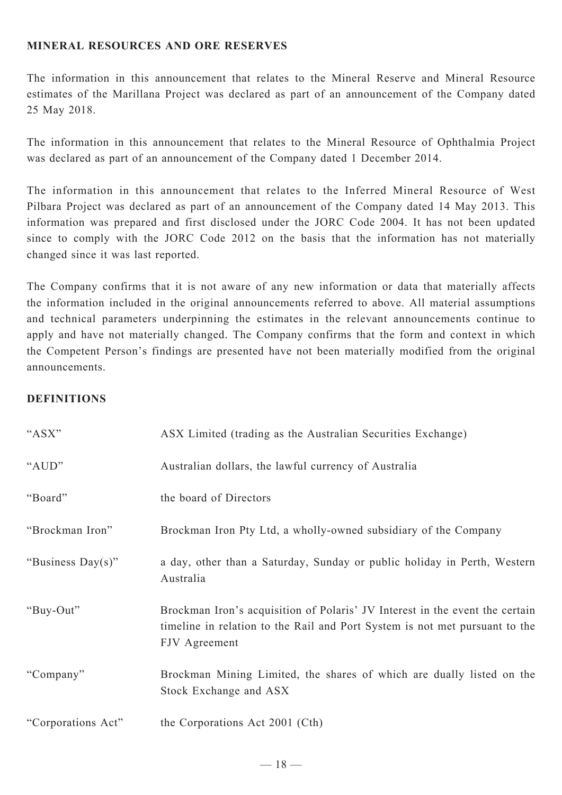## **MINERAL RESOURCES AND ORE RESERVES**

The information in this announcement that relates to the Mineral Reserve and Mineral Resource estimates of the Marillana Project was declared as part of an announcement of the Company dated 25 May 2018.

The information in this announcement that relates to the Mineral Resource of Ophthalmia Project was declared as part of an announcement of the Company dated 1 December 2014.

The information in this announcement that relates to the Inferred Mineral Resource of West Pilbara Project was declared as part of an announcement of the Company dated 14 May 2013. This information was prepared and first disclosed under the JORC Code 2004. It has not been updated since to comply with the JORC Code 2012 on the basis that the information has not materially changed since it was last reported.

The Company confirms that it is not aware of any new information or data that materially affects the information included in the original announcements referred to above. All material assumptions and technical parameters underpinning the estimates in the relevant announcements continue to apply and have not materially changed. The Company confirms that the form and context in which the Competent Person's findings are presented have not been materially modified from the original announcements.

#### **DEFINITIONS**

| "ASX"              | ASX Limited (trading as the Australian Securities Exchange)                                                                                                                  |
|--------------------|------------------------------------------------------------------------------------------------------------------------------------------------------------------------------|
| "AUD"              | Australian dollars, the lawful currency of Australia                                                                                                                         |
| "Board"            | the board of Directors                                                                                                                                                       |
| "Brockman Iron"    | Brockman Iron Pty Ltd, a wholly-owned subsidiary of the Company                                                                                                              |
| "Business Day(s)"  | a day, other than a Saturday, Sunday or public holiday in Perth, Western<br>Australia                                                                                        |
| "Buy-Out"          | Brockman Iron's acquisition of Polaris' JV Interest in the event the certain<br>timeline in relation to the Rail and Port System is not met pursuant to the<br>FJV Agreement |
| "Company"          | Brockman Mining Limited, the shares of which are dually listed on the<br>Stock Exchange and ASX                                                                              |
| "Corporations Act" | the Corporations Act 2001 (Cth)                                                                                                                                              |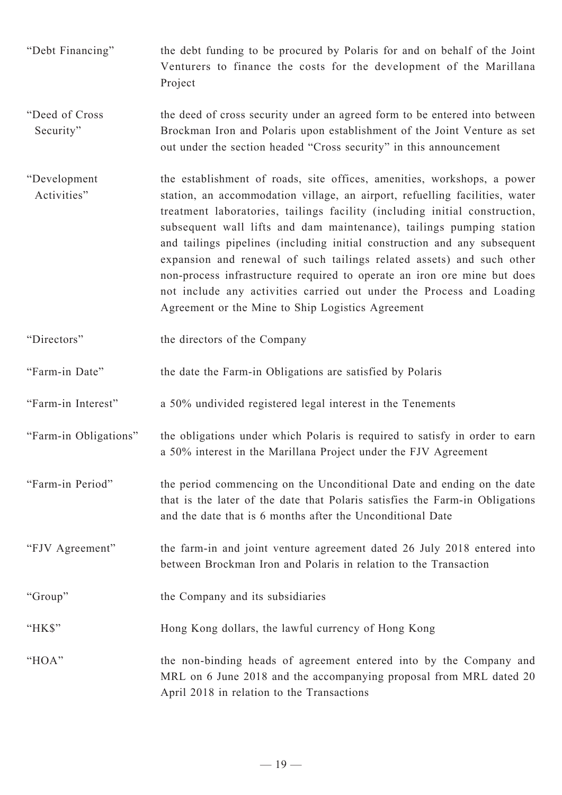- "Debt Financing" the debt funding to be procured by Polaris for and on behalf of the Joint Venturers to finance the costs for the development of the Marillana Project
- "Deed of Cross Security" the deed of cross security under an agreed form to be entered into between Brockman Iron and Polaris upon establishment of the Joint Venture as set out under the section headed "Cross security" in this announcement
- "Development Activities" the establishment of roads, site offices, amenities, workshops, a power station, an accommodation village, an airport, refuelling facilities, water treatment laboratories, tailings facility (including initial construction, subsequent wall lifts and dam maintenance), tailings pumping station and tailings pipelines (including initial construction and any subsequent expansion and renewal of such tailings related assets) and such other non-process infrastructure required to operate an iron ore mine but does not include any activities carried out under the Process and Loading Agreement or the Mine to Ship Logistics Agreement
- "Directors" the directors of the Company
- "Farm-in Date" the date the Farm-in Obligations are satisfied by Polaris
- "Farm-in Interest" a 50% undivided registered legal interest in the Tenements
- "Farm-in Obligations" the obligations under which Polaris is required to satisfy in order to earn a 50% interest in the Marillana Project under the FJV Agreement
- "Farm-in Period" the period commencing on the Unconditional Date and ending on the date that is the later of the date that Polaris satisfies the Farm-in Obligations and the date that is 6 months after the Unconditional Date
- "FJV Agreement" the farm-in and joint venture agreement dated 26 July 2018 entered into between Brockman Iron and Polaris in relation to the Transaction
- "Group" the Company and its subsidiaries
- "HK\$" Hong Kong dollars, the lawful currency of Hong Kong
- "HOA" the non-binding heads of agreement entered into by the Company and MRL on 6 June 2018 and the accompanying proposal from MRL dated 20 April 2018 in relation to the Transactions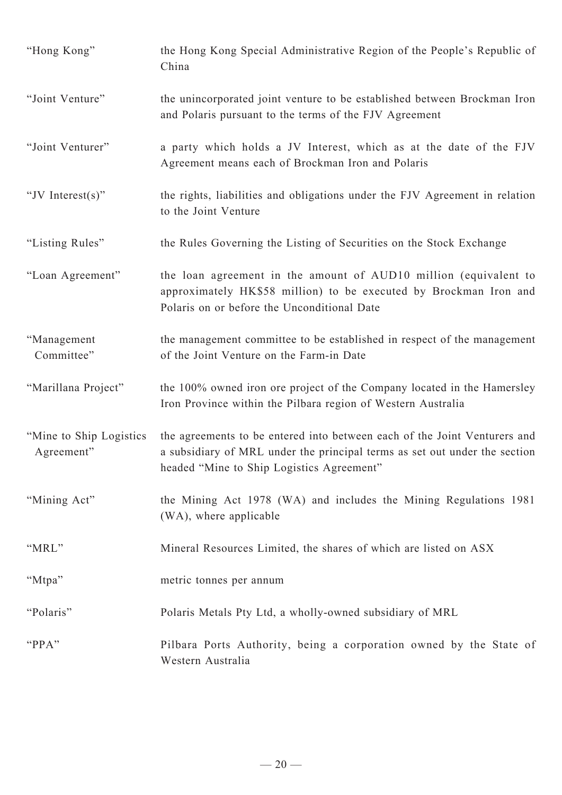| "Hong Kong"                            | the Hong Kong Special Administrative Region of the People's Republic of<br>China                                                                                                                     |
|----------------------------------------|------------------------------------------------------------------------------------------------------------------------------------------------------------------------------------------------------|
| "Joint Venture"                        | the unincorporated joint venture to be established between Brockman Iron<br>and Polaris pursuant to the terms of the FJV Agreement                                                                   |
| "Joint Venturer"                       | a party which holds a JV Interest, which as at the date of the FJV<br>Agreement means each of Brockman Iron and Polaris                                                                              |
| "JV Interest $(s)$ "                   | the rights, liabilities and obligations under the FJV Agreement in relation<br>to the Joint Venture                                                                                                  |
| "Listing Rules"                        | the Rules Governing the Listing of Securities on the Stock Exchange                                                                                                                                  |
| "Loan Agreement"                       | the loan agreement in the amount of AUD10 million (equivalent to<br>approximately HK\$58 million) to be executed by Brockman Iron and<br>Polaris on or before the Unconditional Date                 |
| "Management<br>Committee"              | the management committee to be established in respect of the management<br>of the Joint Venture on the Farm-in Date                                                                                  |
| "Marillana Project"                    | the 100% owned iron ore project of the Company located in the Hamersley<br>Iron Province within the Pilbara region of Western Australia                                                              |
| "Mine to Ship Logistics"<br>Agreement" | the agreements to be entered into between each of the Joint Venturers and<br>a subsidiary of MRL under the principal terms as set out under the section<br>headed "Mine to Ship Logistics Agreement" |
| "Mining Act"                           | the Mining Act 1978 (WA) and includes the Mining Regulations 1981<br>(WA), where applicable                                                                                                          |
| "MRL"                                  | Mineral Resources Limited, the shares of which are listed on ASX                                                                                                                                     |
| "Mtpa"                                 | metric tonnes per annum                                                                                                                                                                              |
| "Polaris"                              | Polaris Metals Pty Ltd, a wholly-owned subsidiary of MRL                                                                                                                                             |
| "PPA"                                  | Pilbara Ports Authority, being a corporation owned by the State of<br>Western Australia                                                                                                              |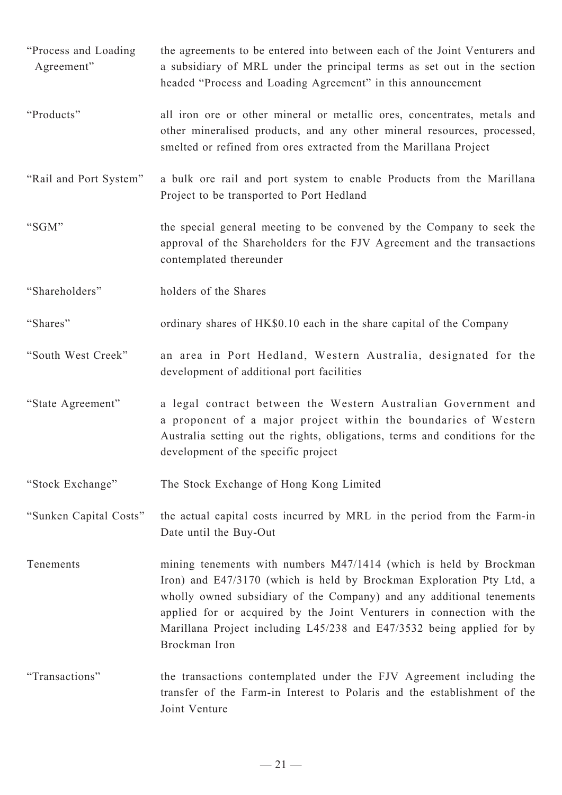"Process and Loading Agreement" the agreements to be entered into between each of the Joint Venturers and a subsidiary of MRL under the principal terms as set out in the section headed "Process and Loading Agreement" in this announcement "Products" all iron ore or other mineral or metallic ores, concentrates, metals and other mineralised products, and any other mineral resources, processed, smelted or refined from ores extracted from the Marillana Project "Rail and Port System" a bulk ore rail and port system to enable Products from the Marillana Project to be transported to Port Hedland "SGM" the special general meeting to be convened by the Company to seek the approval of the Shareholders for the FJV Agreement and the transactions contemplated thereunder "Shareholders" holders of the Shares "Shares" ordinary shares of HK\$0.10 each in the share capital of the Company "South West Creek" an area in Port Hedland, Western Australia, designated for the development of additional port facilities "State Agreement" a legal contract between the Western Australian Government and a proponent of a major project within the boundaries of Western Australia setting out the rights, obligations, terms and conditions for the development of the specific project "Stock Exchange" The Stock Exchange of Hong Kong Limited "Sunken Capital Costs" the actual capital costs incurred by MRL in the period from the Farm-in Date until the Buy-Out Tenements mining tenements with numbers M47/1414 (which is held by Brockman Iron) and E47/3170 (which is held by Brockman Exploration Pty Ltd, a wholly owned subsidiary of the Company) and any additional tenements applied for or acquired by the Joint Venturers in connection with the Marillana Project including L45/238 and E47/3532 being applied for by Brockman Iron "Transactions" the transactions contemplated under the FJV Agreement including the transfer of the Farm-in Interest to Polaris and the establishment of the Joint Venture